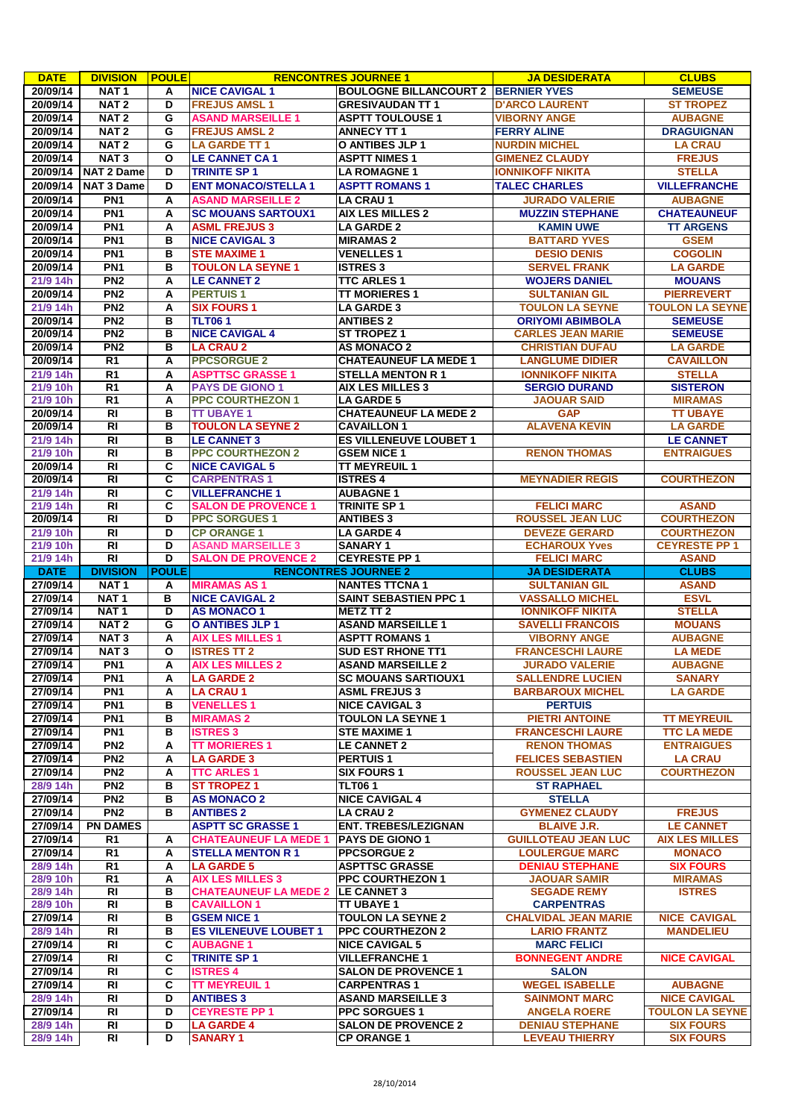| <b>DATE</b>          | <b>DIVISION</b>   | <b>POULE</b> |                                          | <b>RENCONTRES JOURNEE 1</b>                      | <b>JA DESIDERATA</b>        | <b>CLUBS</b>                               |
|----------------------|-------------------|--------------|------------------------------------------|--------------------------------------------------|-----------------------------|--------------------------------------------|
| 20/09/14             | NAT <sub>1</sub>  | A            | <b>NICE CAVIGAL 1</b>                    | <b>BOULOGNE BILLANCOURT 2 BERNIER YVES</b>       |                             | <b>SEMEUSE</b>                             |
| 20/09/14             | NAT <sub>2</sub>  | D            | <b>FREJUS AMSL1</b>                      | <b>GRESIVAUDAN TT 1</b>                          | <b>D'ARCO LAURENT</b>       | <b>ST TROPEZ</b>                           |
| 20/09/14             | NAT <sub>2</sub>  | G            | <b>ASAND MARSEILLE 1</b>                 | <b>ASPTT TOULOUSE 1</b>                          | <b>VIBORNY ANGE</b>         | <b>AUBAGNE</b>                             |
| 20/09/14             | NAT <sub>2</sub>  | G            | <b>FREJUS AMSL 2</b>                     | <b>ANNECY TT 1</b>                               | <b>FERRY ALINE</b>          | <b>DRAGUIGNAN</b>                          |
| 20/09/14             | NAT <sub>2</sub>  | G            | <b>LA GARDE TT1</b>                      | O ANTIBES JLP 1                                  | <b>NURDIN MICHEL</b>        | <b>LA CRAU</b>                             |
|                      |                   |              |                                          |                                                  |                             |                                            |
| 20/09/14             | NAT <sub>3</sub>  | O            | <b>LE CANNET CA1</b>                     | <b>ASPTT NIMES 1</b>                             | <b>GIMENEZ CLAUDY</b>       | <b>FREJUS</b>                              |
| 20/09/14             | <b>NAT 2 Dame</b> | D            | <b>TRINITE SP1</b>                       | <b>LA ROMAGNE 1</b>                              | <b>IONNIKOFF NIKITA</b>     | <b>STELLA</b>                              |
| 20/09/14             | <b>NAT 3 Dame</b> | D            | <b>ENT MONACO/STELLA 1</b>               | <b>ASPTT ROMANS 1</b>                            | <b>TALEC CHARLES</b>        | <b>VILLEFRANCHE</b>                        |
| 20/09/14             | PN <sub>1</sub>   | А            | <b>ASAND MARSEILLE 2</b>                 | <b>LA CRAU 1</b>                                 | <b>JURADO VALERIE</b>       | <b>AUBAGNE</b>                             |
| 20/09/14             | PN <sub>1</sub>   | Α            | <b>SC MOUANS SARTOUX1</b>                | <b>AIX LES MILLES 2</b>                          | <b>MUZZIN STEPHANE</b>      | <b>CHATEAUNEUF</b>                         |
| 20/09/14             | PN <sub>1</sub>   | A            | <b>ASML FREJUS 3</b>                     | <b>LA GARDE 2</b>                                | <b>KAMIN UWE</b>            | <b>TT ARGENS</b>                           |
| 20/09/14             | PN <sub>1</sub>   | в            | <b>NICE CAVIGAL 3</b>                    | <b>MIRAMAS 2</b>                                 | <b>BATTARD YVES</b>         | <b>GSEM</b>                                |
| 20/09/14             | PN <sub>1</sub>   | в            | <b>STE MAXIME 1</b>                      | <b>VENELLES1</b>                                 | <b>DESIO DENIS</b>          | <b>COGOLIN</b>                             |
|                      |                   |              |                                          |                                                  |                             |                                            |
| 20/09/14             | PN <sub>1</sub>   | в            | <b>TOULON LA SEYNE 1</b>                 | <b>ISTRES 3</b>                                  | <b>SERVEL FRANK</b>         | <b>LA GARDE</b>                            |
| 21/9 14h             | PN2               | Α            | <b>LE CANNET 2</b>                       | <b>TTC ARLES 1</b>                               | <b>WOJERS DANIEL</b>        | <b>MOUANS</b>                              |
| 20/09/14             | PN <sub>2</sub>   | A            | <b>PERTUIS1</b>                          | <b>TT MORIERES 1</b>                             | <b>SULTANIAN GIL</b>        | <b>PIERREVERT</b>                          |
| 21/9 14h             | PN2               | A            | <b>SIX FOURS 1</b>                       | <b>LA GARDE 3</b>                                | <b>TOULON LA SEYNE</b>      | <b>TOULON LA SEYNE</b>                     |
| 20/09/14             | PN2               | в            | <b>TLT061</b>                            | <b>ANTIBES 2</b>                                 | <b>ORIYOMI ABIMBOLA</b>     | <b>SEMEUSE</b>                             |
| 20/09/14             | PN2               | в            | <b>NICE CAVIGAL 4</b>                    | <b>ST TROPEZ 1</b>                               | <b>CARLES JEAN MARIE</b>    | <b>SEMEUSE</b>                             |
| 20/09/14             | PN <sub>2</sub>   | в            | <b>LA CRAU 2</b>                         | <b>AS MONACO 2</b>                               | <b>CHRISTIAN DUFAU</b>      | <b>LA GARDE</b>                            |
| 20/09/14             | R1                | A            | <b>PPCSORGUE 2</b>                       | <b>CHATEAUNEUF LA MEDE 1</b>                     | <b>LANGLUME DIDIER</b>      | <b>CAVAILLON</b>                           |
| 21/9 14h             | $\overline{R1}$   | А            | <b>ASPTTSC GRASSE 1</b>                  | <b>STELLA MENTON R1</b>                          | <b>IONNIKOFF NIKITA</b>     | <b>STELLA</b>                              |
| 21/9 10h             | R <sub>1</sub>    | Α            | <b>PAYS DE GIONO 1</b>                   | <b>AIX LES MILLES 3</b>                          | <b>SERGIO DURAND</b>        | <b>SISTERON</b>                            |
|                      | $\overline{R1}$   |              |                                          | <b>LA GARDE 5</b>                                |                             |                                            |
| 21/9 10h             |                   | Α            | <b>PPC COURTHEZON 1</b>                  |                                                  | <b>JAOUAR SAID</b>          | <b>MIRAMAS</b>                             |
| 20/09/14             | $\overline{R}$    | в            | <b>TT UBAYE 1</b>                        | <b>CHATEAUNEUF LA MEDE 2</b>                     | <b>GAP</b>                  | <b>TT UBAYE</b>                            |
| 20/09/14             | <b>RI</b>         | в            | <b>TOULON LA SEYNE 2</b>                 | <b>CAVAILLON 1</b>                               | <b>ALAVENA KEVIN</b>        | <b>LA GARDE</b>                            |
| 21/9 14h             | R <sub>l</sub>    | в            | <b>LE CANNET 3</b>                       | <b>ES VILLENEUVE LOUBET 1</b>                    |                             | <b>LE CANNET</b>                           |
| 21/9 10h             | $\overline{R}$    | в            | <b>PPC COURTHEZON 2</b>                  | <b>GSEM NICE 1</b>                               | <b>RENON THOMAS</b>         | <b>ENTRAIGUES</b>                          |
| 20/09/14             | <b>RI</b>         | C            | <b>NICE CAVIGAL 5</b>                    | <b>TT MEYREUIL 1</b>                             |                             |                                            |
| 20/09/14             | $\overline{R}$    | С            | <b>CARPENTRAS1</b>                       | <b>ISTRES 4</b>                                  | <b>MEYNADIER REGIS</b>      | <b>COURTHEZON</b>                          |
| 21/9 14h             | $\overline{R}$    | C            | <b>VILLEFRANCHE 1</b>                    | <b>AUBAGNE1</b>                                  |                             |                                            |
| 21/9 14h             | <b>RI</b>         | C            | <b>SALON DE PROVENCE 1</b>               | <b>TRINITE SP 1</b>                              | <b>FELICI MARC</b>          | <b>ASAND</b>                               |
| 20/09/14             | R <sub>l</sub>    | D            | <b>PPC SORGUES 1</b>                     | <b>ANTIBES 3</b>                                 | <b>ROUSSEL JEAN LUC</b>     | <b>COURTHEZON</b>                          |
| 21/9 10h             | <b>RI</b>         | D            | <b>CP ORANGE 1</b>                       | <b>LA GARDE 4</b>                                | <b>DEVEZE GERARD</b>        | <b>COURTHEZON</b>                          |
| 21/9 10h             | <b>RI</b>         | D            | <b>ASAND MARSEILLE 3</b>                 | <b>SANARY 1</b>                                  | <b>ECHAROUX Yves</b>        | <b>CEYRESTE PP 1</b>                       |
|                      | <b>RI</b>         | D            | <b>SALON DE PROVENCE 2</b>               |                                                  | <b>FELICI MARC</b>          |                                            |
| 21/9 14h             |                   |              |                                          | <b>CEYRESTE PP 1</b>                             |                             | <b>ASAND</b>                               |
|                      |                   |              |                                          |                                                  |                             |                                            |
| <b>DATE</b>          | <b>DIVISION</b>   | <b>POULE</b> |                                          | <b>RENCONTRES JOURNEE 2</b>                      | <b>JA DESIDERATA</b>        | <b>CLUBS</b>                               |
| 27/09/14             | NAT <sub>1</sub>  | Α            | <b>MIRAMAS AS1</b>                       | <b>NANTES TTCNA1</b>                             | <b>SULTANIAN GIL</b>        | <b>ASAND</b>                               |
| 27/09/14             | NAT <sub>1</sub>  | в            | <b>NICE CAVIGAL 2</b>                    | <b>SAINT SEBASTIEN PPC 1</b>                     | <b>VASSALLO MICHEL</b>      | <b>ESVL</b>                                |
| 27/09/14             | NAT <sub>1</sub>  | D            | <b>AS MONACO 1</b>                       | <b>METZ TT 2</b>                                 | <b>IONNIKOFF NIKITA</b>     | <b>STELLA</b>                              |
| 27/09/14             | NAT <sub>2</sub>  | G            | <b>O ANTIBES JLP 1</b>                   | <b>ASAND MARSEILLE 1</b>                         | <b>SAVELLI FRANCOIS</b>     | <b>MOUANS</b>                              |
| 27/09/14             | NAT <sub>3</sub>  | А            | <b>AIX LES MILLES 1</b>                  | <b>ASPTT ROMANS 1</b>                            | <b>VIBORNY ANGE</b>         | <b>AUBAGNE</b>                             |
| 27/09/14             | NAT <sub>3</sub>  | O            | <b>ISTRES TT 2</b>                       | <b>SUD EST RHONE TT1</b>                         | <b>FRANCESCHI LAURE</b>     | <b>LA MEDE</b>                             |
|                      | PN <sub>1</sub>   | A            | <b>AIX LES MILLES 2</b>                  | <b>ASAND MARSEILLE 2</b>                         | <b>JURADO VALERIE</b>       | <b>AUBAGNE</b>                             |
| 27/09/14<br>27/09/14 | PN <sub>1</sub>   | A            | <b>LA GARDE 2</b>                        | <b>SC MOUANS SARTIOUX1</b>                       | <b>SALLENDRE LUCIEN</b>     | <b>SANARY</b>                              |
|                      | PN <sub>1</sub>   | A            | <b>LA CRAU 1</b>                         | <b>ASML FREJUS 3</b>                             | <b>BARBAROUX MICHEL</b>     | <b>LA GARDE</b>                            |
| 27/09/14<br>27/09/14 | PN <sub>1</sub>   | В            | <b>VENELLES 1</b>                        | <b>NICE CAVIGAL 3</b>                            | <b>PERTUIS</b>              |                                            |
|                      |                   |              |                                          |                                                  |                             |                                            |
| 27/09/14             | PN <sub>1</sub>   | в            | <b>MIRAMAS 2</b>                         | <b>TOULON LA SEYNE 1</b>                         | <b>PIETRI ANTOINE</b>       | <b>TT MEYREUIL</b>                         |
| 27/09/14             | PN <sub>1</sub>   | в            | <b>ISTRES 3</b>                          | <b>STE MAXIME 1</b>                              | <b>FRANCESCHI LAURE</b>     | <b>TTC LA MEDE</b>                         |
| 27/09/14             | PN <sub>2</sub>   | A            | <b>TT MORIERES 1</b>                     | LE CANNET 2                                      | <b>RENON THOMAS</b>         | <b>ENTRAIGUES</b>                          |
| 27/09/14             | PN2               | A            | <b>LA GARDE 3</b>                        | <b>PERTUIS1</b>                                  | <b>FELICES SEBASTIEN</b>    | <b>LA CRAU</b>                             |
| 27/09/14             | PN2               | A            | <b>TTC ARLES 1</b>                       | <b>SIX FOURS 1</b>                               | <b>ROUSSEL JEAN LUC</b>     | <b>COURTHEZON</b>                          |
| 28/9 14h             | PN <sub>2</sub>   | в            | <b>ST TROPEZ 1</b>                       | <b>TLT061</b>                                    | <b>ST RAPHAEL</b>           |                                            |
| 27/09/14             | PN <sub>2</sub>   | в            | <b>AS MONACO 2</b>                       | <b>NICE CAVIGAL 4</b>                            | <b>STELLA</b>               |                                            |
| 27/09/14             | PN <sub>2</sub>   | В            | <b>ANTIBES 2</b>                         | <b>LA CRAU 2</b>                                 | <b>GYMENEZ CLAUDY</b>       | <b>FREJUS</b>                              |
| 27/09/14             | <b>PN DAMES</b>   |              | <b>ASPTT SC GRASSE 1</b>                 | <b>ENT. TREBES/LEZIGNAN</b>                      | <b>BLAIVE J.R.</b>          | <b>LE CANNET</b>                           |
| 27/09/14             | R1                | A            | <b>CHATEAUNEUF LA MEDE 1</b>             | <b>PAYS DE GIONO 1</b>                           | <b>GUILLOTEAU JEAN LUC</b>  | <b>AIX LES MILLES</b>                      |
| 27/09/14             | R1                | A            | <b>STELLA MENTON R 1</b>                 | <b>PPCSORGUE 2</b>                               | <b>LOULERGUE MARC</b>       | <b>MONACO</b>                              |
| 28/9 14h             | R1                | A            | <b>LA GARDE 5</b>                        |                                                  | <b>DENIAU STEPHANE</b>      | <b>SIX FOURS</b>                           |
| 28/9 10h             | R1                | A            | <b>AIX LES MILLES 3</b>                  | <b>ASPTTSC GRASSE</b><br><b>PPC COURTHEZON 1</b> | <b>JAOUAR SAMIR</b>         | <b>MIRAMAS</b>                             |
|                      |                   |              |                                          |                                                  |                             |                                            |
| 28/9 14h             | RI<br><b>RI</b>   | В<br>в       | <b>CHATEAUNEUF LA MEDE 2 LE CANNET 3</b> |                                                  | <b>SEGADE REMY</b>          | <b>ISTRES</b>                              |
| 28/9 10h             |                   |              | <b>CAVAILLON 1</b>                       | <b>TT UBAYE 1</b>                                | <b>CARPENTRAS</b>           |                                            |
| 27/09/14             | RI                | в            | <b>GSEM NICE 1</b>                       | <b>TOULON LA SEYNE 2</b>                         | <b>CHALVIDAL JEAN MARIE</b> | <b>NICE CAVIGAL</b>                        |
| 28/9 14h             | <b>RI</b>         | в            | <b>ES VILENEUVE LOUBET 1</b>             | <b>PPC COURTHEZON 2</b>                          | <b>LARIO FRANTZ</b>         | <b>MANDELIEU</b>                           |
| 27/09/14             | <b>RI</b>         | C            | <b>AUBAGNE 1</b>                         | <b>NICE CAVIGAL 5</b>                            | <b>MARC FELICI</b>          |                                            |
| 27/09/14             | RI                | С            | <b>TRINITE SP1</b>                       | <b>VILLEFRANCHE 1</b>                            | <b>BONNEGENT ANDRE</b>      | <b>NICE CAVIGAL</b>                        |
| 27/09/14             | RI                | С            | <b>ISTRES 4</b>                          | <b>SALON DE PROVENCE 1</b>                       | <b>SALON</b>                |                                            |
| 27/09/14             | <b>RI</b>         | C            | <b>TT MEYREUIL 1</b>                     | <b>CARPENTRAS1</b>                               | <b>WEGEL ISABELLE</b>       | <b>AUBAGNE</b>                             |
| 28/9 14h             | RI                | D            | <b>ANTIBES 3</b>                         | <b>ASAND MARSEILLE 3</b>                         | <b>SAINMONT MARC</b>        | <b>NICE CAVIGAL</b>                        |
| 27/09/14             | RI                | D            | <b>CEYRESTE PP 1</b>                     | <b>PPC SORGUES 1</b>                             | <b>ANGELA ROERE</b>         |                                            |
| 28/9 14h             | $\overline{R}$    | D            | <b>LA GARDE 4</b>                        | <b>SALON DE PROVENCE 2</b>                       | <b>DENIAU STEPHANE</b>      | <b>SIX FOURS</b>                           |
| 28/9 14h             | <b>RI</b>         | D            | <b>SANARY 1</b>                          | <b>CP ORANGE 1</b>                               | <b>LEVEAU THIERRY</b>       | <b>TOULON LA SEYNE</b><br><b>SIX FOURS</b> |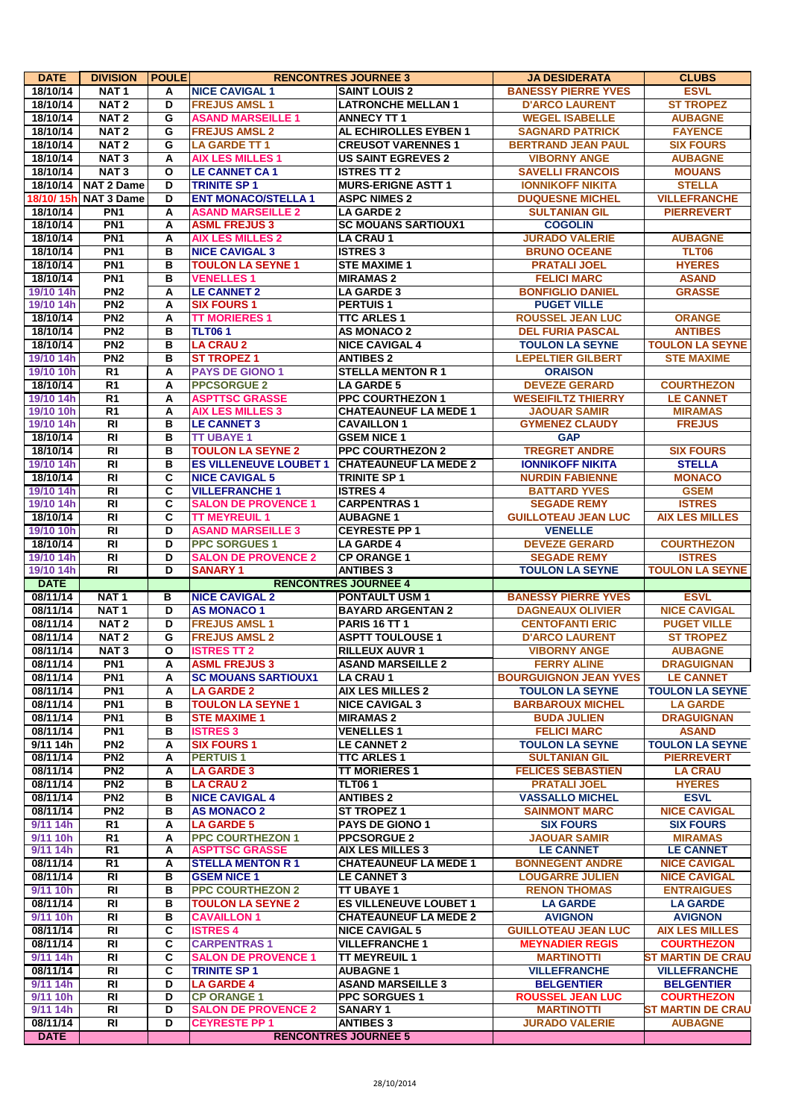| <b>DATE</b>            | <b>DIVISION</b>                      | <b>POULE</b>            |                                              | <b>RENCONTRES JOURNEE 3</b>                      | <b>JA DESIDERATA</b>                         | <b>CLUBS</b>                           |
|------------------------|--------------------------------------|-------------------------|----------------------------------------------|--------------------------------------------------|----------------------------------------------|----------------------------------------|
| 18/10/14               | NAT <sub>1</sub>                     | A                       | <b>NICE CAVIGAL 1</b>                        | <b>SAINT LOUIS 2</b>                             | <b>BANESSY PIERRE YVES</b>                   | <b>ESVL</b>                            |
| 18/10/14               | NAT <sub>2</sub>                     | D                       | <b>FREJUS AMSL1</b>                          | <b>LATRONCHE MELLAN 1</b>                        | <b>D'ARCO LAURENT</b>                        | <b>ST TROPEZ</b>                       |
| 18/10/14               | NAT <sub>2</sub>                     | G                       | <b>ASAND MARSEILLE 1</b>                     | <b>ANNECY TT 1</b>                               | <b>WEGEL ISABELLE</b>                        | <b>AUBAGNE</b>                         |
| 18/10/14               | NAT <sub>2</sub>                     | G                       | <b>FREJUS AMSL 2</b>                         | AL ECHIROLLES EYBEN 1                            | <b>SAGNARD PATRICK</b>                       | <b>FAYENCE</b>                         |
| 18/10/14               | NAT <sub>2</sub>                     | G                       | <b>LA GARDE TT 1</b>                         | <b>CREUSOT VARENNES 1</b>                        | <b>BERTRAND JEAN PAUL</b>                    | <b>SIX FOURS</b>                       |
| 18/10/14               | NAT <sub>3</sub>                     | A                       | <b>AIX LES MILLES 1</b>                      | <b>US SAINT EGREVES 2</b>                        | <b>VIBORNY ANGE</b>                          | <b>AUBAGNE</b>                         |
| 18/10/14               | NAT <sub>3</sub>                     | O                       | <b>LE CANNET CA1</b>                         | <b>ISTRES TT 2</b>                               | <b>SAVELLI FRANCOIS</b>                      | <b>MOUANS</b>                          |
|                        | 18/10/14 NAT 2 Dame                  | D                       | <b>TRINITE SP1</b>                           | <b>MURS-ERIGNE ASTT 1</b>                        | <b>IONNIKOFF NIKITA</b>                      | <b>STELLA</b>                          |
|                        | 18/10/ 15h  NAT 3 Dame               | D                       | <b>ENT MONACO/STELLA 1</b>                   | <b>ASPC NIMES 2</b>                              | <b>DUQUESNE MICHEL</b>                       | <b>VILLEFRANCHE</b>                    |
| 18/10/14               | PN <sub>1</sub>                      | A                       | <b>ASAND MARSEILLE 2</b>                     | <b>LA GARDE 2</b>                                | <b>SULTANIAN GIL</b>                         | <b>PIERREVERT</b>                      |
| 18/10/14               | PN <sub>1</sub>                      | A                       | <b>ASML FREJUS 3</b>                         | <b>SC MOUANS SARTIOUX1</b>                       | <b>COGOLIN</b>                               |                                        |
| 18/10/14               | PN <sub>1</sub>                      | A                       | <b>AIX LES MILLES 2</b>                      | <b>LA CRAU 1</b>                                 | <b>JURADO VALERIE</b>                        | <b>AUBAGNE</b>                         |
| 18/10/14               | PN <sub>1</sub>                      | B                       | <b>NICE CAVIGAL 3</b>                        | <b>ISTRES 3</b>                                  | <b>BRUNO OCEANE</b>                          | <b>TLT06</b>                           |
| 18/10/14<br>18/10/14   | PN <sub>1</sub><br>PN <sub>1</sub>   | B<br>в                  | <b>TOULON LA SEYNE 1</b><br><b>VENELLES1</b> | <b>STE MAXIME 1</b><br><b>MIRAMAS 2</b>          | <b>PRATALI JOEL</b><br><b>FELICI MARC</b>    | <b>HYERES</b>                          |
|                        | PN <sub>2</sub>                      | A                       | <b>LE CANNET 2</b>                           | <b>LA GARDE 3</b>                                | <b>BONFIGLIO DANIEL</b>                      | <b>ASAND</b><br><b>GRASSE</b>          |
| 19/10 14h<br>19/10 14h | PN <sub>2</sub>                      | A                       | <b>SIX FOURS 1</b>                           | <b>PERTUIS1</b>                                  | <b>PUGET VILLE</b>                           |                                        |
| 18/10/14               | PN <sub>2</sub>                      | A                       | <b>TT MORIERES 1</b>                         | <b>TTC ARLES 1</b>                               | <b>ROUSSEL JEAN LUC</b>                      | <b>ORANGE</b>                          |
| 18/10/14               | PN <sub>2</sub>                      | в                       | <b>TLT061</b>                                | <b>AS MONACO 2</b>                               | <b>DEL FURIA PASCAL</b>                      | <b>ANTIBES</b>                         |
| 18/10/14               | PN <sub>2</sub>                      | в                       | <b>LA CRAU 2</b>                             | <b>NICE CAVIGAL 4</b>                            | <b>TOULON LA SEYNE</b>                       | <b>TOULON LA SEYNE</b>                 |
| 19/10 14h              | PN <sub>2</sub>                      | в                       | <b>ST TROPEZ 1</b>                           | <b>ANTIBES 2</b>                                 | <b>LEPELTIER GILBERT</b>                     | <b>STE MAXIME</b>                      |
| 19/10 10h              | $\overline{R1}$                      | A                       | <b>PAYS DE GIONO 1</b>                       | <b>STELLA MENTON R 1</b>                         | <b>ORAISON</b>                               |                                        |
| 18/10/14               | $\overline{R1}$                      | A                       | <b>PPCSORGUE 2</b>                           | <b>LA GARDE 5</b>                                | <b>DEVEZE GERARD</b>                         | <b>COURTHEZON</b>                      |
| 19/10 14h              | $\overline{R1}$                      | A                       | <b>ASPTTSC GRASSE</b>                        | <b>PPC COURTHEZON 1</b>                          | <b>WESEIFILTZ THIERRY</b>                    | <b>LE CANNET</b>                       |
| 19/10 10h              | R <sub>1</sub>                       | A                       | <b>AIX LES MILLES 3</b>                      | <b>CHATEAUNEUF LA MEDE 1</b>                     | <b>JAOUAR SAMIR</b>                          | <b>MIRAMAS</b>                         |
| 19/10 14h              | $\overline{R}$                       | в                       | <b>LE CANNET 3</b>                           | <b>CAVAILLON1</b>                                | <b>GYMENEZ CLAUDY</b>                        | <b>FREJUS</b>                          |
| 18/10/14               | $\overline{R}$                       | в                       | <b>TT UBAYE 1</b>                            | <b>GSEM NICE 1</b>                               | <b>GAP</b>                                   |                                        |
| 18/10/14               | $\overline{RI}$                      | в                       | <b>TOULON LA SEYNE 2</b>                     | <b>PPC COURTHEZON 2</b>                          | <b>TREGRET ANDRE</b>                         | <b>SIX FOURS</b>                       |
| 19/10 14h              | $\overline{R}$                       | B                       | <b>ES VILLENEUVE LOUBET 1</b>                | <b>CHATEAUNEUF LA MEDE 2</b>                     | <b>IONNIKOFF NIKITA</b>                      | <b>STELLA</b>                          |
| 18/10/14               | <b>RI</b>                            | C                       | <b>NICE CAVIGAL 5</b>                        | <b>TRINITE SP1</b>                               | <b>NURDIN FABIENNE</b>                       | <b>MONACO</b>                          |
| 19/10 14h              | $\overline{RI}$                      | $\overline{\mathbf{c}}$ | <b>VILLEFRANCHE 1</b>                        | <b>ISTRES 4</b>                                  | <b>BATTARD YVES</b>                          | <b>GSEM</b>                            |
| 19/10 14h              | $\overline{R}$                       | $\overline{\mathbf{c}}$ | <b>SALON DE PROVENCE 1</b>                   | <b>CARPENTRAS1</b>                               | <b>SEGADE REMY</b>                           | <b>ISTRES</b>                          |
| 18/10/14               | $\overline{R}$                       | C                       | <b>TT MEYREUIL 1</b>                         | <b>AUBAGNE 1</b>                                 | <b>GUILLOTEAU JEAN LUC</b>                   | <b>AIX LES MILLES</b>                  |
| 19/10 10h              | $\overline{RI}$                      | D                       | <b>ASAND MARSEILLE 3</b>                     | <b>CEYRESTE PP 1</b>                             | <b>VENELLE</b>                               |                                        |
| 18/10/14               | $\overline{R}$                       | D                       | <b>PPC SORGUES 1</b>                         | <b>LA GARDE 4</b>                                | <b>DEVEZE GERARD</b>                         | <b>COURTHEZON</b>                      |
| 19/10 14h              | <b>RI</b>                            | D                       | <b>SALON DE PROVENCE 2</b>                   | <b>CP ORANGE 1</b>                               | <b>SEGADE REMY</b>                           | <b>ISTRES</b>                          |
| 19/10 14h              | $\overline{RI}$                      | D                       | <b>SANARY 1</b>                              | <b>ANTIBES 3</b>                                 | <b>TOULON LA SEYNE</b>                       | <b>TOULON LA SEYNE</b>                 |
| <b>DATE</b>            |                                      |                         |                                              | <b>RENCONTRES JOURNEE 4</b>                      |                                              |                                        |
| 08/11/14               | NAT <sub>1</sub>                     | в                       | <b>NICE CAVIGAL 2</b>                        | <b>PONTAULT USM 1</b>                            | <b>BANESSY PIERRE YVES</b>                   | <b>ESVL</b>                            |
| 08/11/14               | NAT <sub>1</sub>                     | D                       | <b>AS MONACO 1</b>                           | <b>BAYARD ARGENTAN 2</b>                         | <b>DAGNEAUX OLIVIER</b>                      | <b>NICE CAVIGAL</b>                    |
| 08/11/14<br>08/11/14   | NAT <sub>2</sub>                     | D                       | <b>FREJUS AMSL1</b>                          | PARIS 16 TT 1                                    | <b>CENTOFANTI ERIC</b>                       | <b>PUGET VILLE</b>                     |
|                        | NAT <sub>2</sub><br>NAT <sub>3</sub> | G<br>$\mathbf{o}$       | <b>FREJUS AMSL 2</b><br><b>ISTRES TT 2</b>   | <b>ASPTT TOULOUSE 1</b><br><b>RILLEUX AUVR 1</b> | <b>D'ARCO LAURENT</b><br><b>VIBORNY ANGE</b> | <b>ST TROPEZ</b><br><b>AUBAGNE</b>     |
| 08/11/14<br>08/11/14   | PN <sub>1</sub>                      | А                       | <b>ASML FREJUS 3</b>                         | <b>ASAND MARSEILLE 2</b>                         | <b>FERRY ALINE</b>                           | <b>DRAGUIGNAN</b>                      |
| 08/11/14               | PN <sub>1</sub>                      | A                       | <b>SC MOUANS SARTIOUX1</b>                   | LA CRAU 1                                        | <b>BOURGUIGNON JEAN YVES</b>                 | <b>LE CANNET</b>                       |
| 08/11/14               | PN <sub>1</sub>                      | A                       | <b>LA GARDE 2</b>                            | <b>AIX LES MILLES 2</b>                          | <b>TOULON LA SEYNE</b>                       | <b>TOULON LA SEYNE</b>                 |
| 08/11/14               | PN <sub>1</sub>                      | в                       | <b>TOULON LA SEYNE 1</b>                     | <b>NICE CAVIGAL 3</b>                            | <b>BARBAROUX MICHEL</b>                      | <b>LA GARDE</b>                        |
| 08/11/14               | PN <sub>1</sub>                      | в                       | <b>STE MAXIME 1</b>                          | <b>MIRAMAS 2</b>                                 | <b>BUDA JULIEN</b>                           | <b>DRAGUIGNAN</b>                      |
| 08/11/14               | PN <sub>1</sub>                      | в                       | <b>ISTRES 3</b>                              | <b>VENELLES1</b>                                 | <b>FELICI MARC</b>                           | <b>ASAND</b>                           |
| 9/11 14h               | PN <sub>2</sub>                      | Α                       | <b>SIX FOURS 1</b>                           | <b>LE CANNET 2</b>                               | <b>TOULON LA SEYNE</b>                       | <b>TOULON LA SEYNE</b>                 |
| 08/11/14               | PN <sub>2</sub>                      | А                       | <b>PERTUIS1</b>                              | <b>TTC ARLES 1</b>                               | <b>SULTANIAN GIL</b>                         | <b>PIERREVERT</b>                      |
| 08/11/14               | PN2                                  | Α                       | <b>LA GARDE 3</b>                            | <b>TT MORIERES 1</b>                             | <b>FELICES SEBASTIEN</b>                     | <b>LA CRAU</b>                         |
| 08/11/14               | PN <sub>2</sub>                      | в                       | <b>LA CRAU 2</b>                             | <b>TLT061</b>                                    | <b>PRATALI JOEL</b>                          | <b>HYERES</b>                          |
| 08/11/14               | PN <sub>2</sub>                      | в                       | <b>NICE CAVIGAL 4</b>                        | <b>ANTIBES 2</b>                                 | <b>VASSALLO MICHEL</b>                       | <b>ESVL</b>                            |
| 08/11/14               | PN2                                  | в                       | <b>AS MONACO 2</b>                           | <b>ST TROPEZ 1</b>                               | <b>SAINMONT MARC</b>                         | <b>NICE CAVIGAL</b>                    |
| 9/11 14h               | R <sub>1</sub>                       | Α                       | <b>LA GARDE 5</b>                            | <b>PAYS DE GIONO 1</b>                           | <b>SIX FOURS</b>                             | <b>SIX FOURS</b>                       |
| 9/11 10h               | R <sub>1</sub>                       | А                       | <b>PPC COURTHEZON 1</b>                      | <b>PPCSORGUE 2</b>                               | <b>JAOUAR SAMIR</b>                          | <b>MIRAMAS</b>                         |
| 9/11 14h               | R <sub>1</sub>                       | Α                       | <b>ASPTTSC GRASSE</b>                        | <b>AIX LES MILLES 3</b>                          | <b>LE CANNET</b>                             | <b>LE CANNET</b>                       |
| 08/11/14               | $\overline{R1}$                      | Α                       | <b>STELLA MENTON R 1</b>                     | <b>CHATEAUNEUF LA MEDE 1</b>                     | <b>BONNEGENT ANDRE</b>                       | <b>NICE CAVIGAL</b>                    |
| 08/11/14               | RI                                   | в                       | <b>GSEM NICE 1</b>                           | <b>LE CANNET 3</b>                               | <b>LOUGARRE JULIEN</b>                       | <b>NICE CAVIGAL</b>                    |
| 9/11 10h               | $\overline{R}$                       | в                       | <b>PPC COURTHEZON 2</b>                      | <b>TT UBAYE 1</b>                                | <b>RENON THOMAS</b>                          | <b>ENTRAIGUES</b>                      |
| 08/11/14               | RI                                   | в                       | <b>TOULON LA SEYNE 2</b>                     | <b>ES VILLENEUVE LOUBET 1</b>                    | <b>LA GARDE</b>                              | <b>LA GARDE</b>                        |
| 9/11 10h               | RI                                   | в                       | <b>CAVAILLON 1</b>                           | <b>CHATEAUNEUF LA MEDE 2</b>                     | <b>AVIGNON</b>                               | <b>AVIGNON</b>                         |
| 08/11/14               | <b>RI</b>                            | $\overline{\mathbf{c}}$ | <b>ISTRES 4</b>                              | <b>NICE CAVIGAL 5</b>                            | <b>GUILLOTEAU JEAN LUC</b>                   | <b>AIX LES MILLES</b>                  |
| 08/11/14               | RI                                   | C                       | <b>CARPENTRAS1</b>                           | <b>VILLEFRANCHE 1</b>                            | <b>MEYNADIER REGIS</b>                       | <b>COURTHEZON</b>                      |
| 9/11 14h               | RI                                   | C                       | <b>SALON DE PROVENCE 1</b>                   | <b>TT MEYREUIL 1</b>                             | <b>MARTINOTTI</b>                            | <b>ST MARTIN DE CRAU</b>               |
| 08/11/14               | $\overline{R}$                       | C                       | <b>TRINITE SP 1</b>                          | <b>AUBAGNE 1</b>                                 | <b>VILLEFRANCHE</b>                          | <b>VILLEFRANCHE</b>                    |
| 9/11 14h<br>9/11 10h   | RI<br>RI                             | D<br>D                  | <b>LA GARDE 4</b><br><b>CP ORANGE 1</b>      | <b>ASAND MARSEILLE 3</b><br><b>PPC SORGUES 1</b> | <b>BELGENTIER</b><br><b>ROUSSEL JEAN LUC</b> | <b>BELGENTIER</b><br><b>COURTHEZON</b> |
| 9/11 14h               | <b>RI</b>                            | D                       | <b>SALON DE PROVENCE 2</b>                   | <b>SANARY 1</b>                                  | <b>MARTINOTTI</b>                            | <b>ST MARTIN DE CRAU</b>               |
| 08/11/14               | $\overline{R}$                       | D                       | <b>CEYRESTE PP 1</b>                         | <b>ANTIBES 3</b>                                 | <b>JURADO VALERIE</b>                        | <b>AUBAGNE</b>                         |
| <b>DATE</b>            |                                      |                         |                                              | <b>RENCONTRES JOURNEE 5</b>                      |                                              |                                        |
|                        |                                      |                         |                                              |                                                  |                                              |                                        |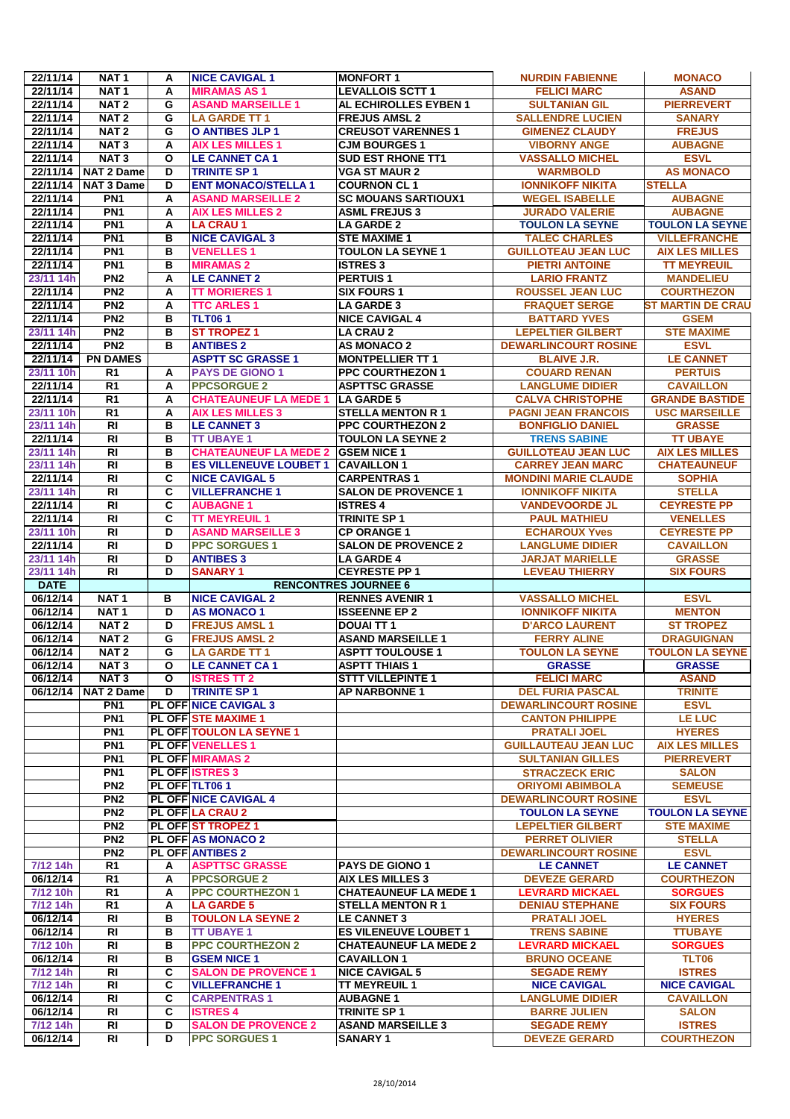|                      | NAT <sub>1</sub>                   | A                       | <b>NICE CAVIGAL 1</b>                                  | <b>MONFORT 1</b>                                   | <b>NURDIN FABIENNE</b>                           | <b>MONACO</b>                   |
|----------------------|------------------------------------|-------------------------|--------------------------------------------------------|----------------------------------------------------|--------------------------------------------------|---------------------------------|
| 22/11/14             | NAT <sub>1</sub>                   | A                       | <b>MIRAMAS AS1</b>                                     | <b>LEVALLOIS SCTT 1</b>                            | <b>FELICI MARC</b>                               | <b>ASAND</b>                    |
| 22/11/14             | NAT <sub>2</sub>                   | G                       | <b>ASAND MARSEILLE 1</b>                               | AL ECHIROLLES EYBEN 1                              | <b>SULTANIAN GIL</b>                             | <b>PIERREVERT</b>               |
| 22/11/14             | NAT <sub>2</sub>                   | G                       | <b>LA GARDE TT 1</b>                                   | <b>FREJUS AMSL 2</b>                               | <b>SALLENDRE LUCIEN</b>                          | <b>SANARY</b>                   |
| 22/11/14             | NAT <sub>2</sub>                   | G                       | <b>O ANTIBES JLP 1</b>                                 | <b>CREUSOT VARENNES 1</b>                          | <b>GIMENEZ CLAUDY</b>                            | <b>FREJUS</b>                   |
| 22/11/14             | NAT <sub>3</sub>                   | A                       | <b>AIX LES MILLES 1</b>                                | <b>CJM BOURGES1</b>                                | <b>VIBORNY ANGE</b>                              | <b>AUBAGNE</b>                  |
| 22/11/14             | <b>NAT3</b>                        | O                       | <b>LE CANNET CA1</b>                                   | <b>SUD EST RHONE TT1</b>                           | <b>VASSALLO MICHEL</b>                           | <b>ESVL</b>                     |
| 22/11/14             | NAT 2 Dame                         | D                       | <b>TRINITE SP1</b>                                     | <b>VGA ST MAUR 2</b>                               | <b>WARMBOLD</b>                                  | <b>AS MONACO</b>                |
| 22/11/14<br>22/11/14 | NAT 3 Dame<br>PN <sub>1</sub>      | D                       | <b>ENT MONACO/STELLA 1</b><br><b>ASAND MARSEILLE 2</b> | <b>COURNON CL1</b>                                 | <b>IONNIKOFF NIKITA</b><br><b>WEGEL ISABELLE</b> | <b>STELLA</b><br><b>AUBAGNE</b> |
| 22/11/14             | PN1                                | A<br>A                  | <b>AIX LES MILLES 2</b>                                | <b>SC MOUANS SARTIOUX1</b><br><b>ASML FREJUS 3</b> | <b>JURADO VALERIE</b>                            | <b>AUBAGNE</b>                  |
| 22/11/14             | PN <sub>1</sub>                    | A                       | <b>LA CRAU 1</b>                                       | <b>LA GARDE 2</b>                                  | <b>TOULON LA SEYNE</b>                           | <b>TOULON LA SEYNE</b>          |
| 22/11/14             | PN <sub>1</sub>                    | в                       | <b>NICE CAVIGAL 3</b>                                  | <b>STE MAXIME 1</b>                                | <b>TALEC CHARLES</b>                             | <b>VILLEFRANCHE</b>             |
| 22/11/14             | PN <sub>1</sub>                    | в                       | <b>VENELLES1</b>                                       | <b>TOULON LA SEYNE 1</b>                           | <b>GUILLOTEAU JEAN LUC</b>                       | <b>AIX LES MILLES</b>           |
| 22/11/14             | PN <sub>1</sub>                    | в                       | <b>MIRAMAS 2</b>                                       | <b>ISTRES 3</b>                                    | <b>PIETRI ANTOINE</b>                            | <b>TT MEYREUIL</b>              |
| 23/11 14h            | PN <sub>2</sub>                    | A                       | <b>LE CANNET 2</b>                                     | <b>PERTUIS 1</b>                                   | <b>LARIO FRANTZ</b>                              | <b>MANDELIEU</b>                |
| 22/11/14             | PN2                                | A                       | <b>TT MORIERES 1</b>                                   | <b>SIX FOURS 1</b>                                 | <b>ROUSSEL JEAN LUC</b>                          | <b>COURTHEZON</b>               |
| 22/11/14             | PN <sub>2</sub>                    | A                       | <b>TTC ARLES 1</b>                                     | <b>LA GARDE 3</b>                                  | <b>FRAQUET SERGE</b>                             | <b>ST MARTIN DE CRAU</b>        |
| 22/11/14             | PN <sub>2</sub>                    | в                       | <b>TLT061</b>                                          | <b>NICE CAVIGAL 4</b>                              | <b>BATTARD YVES</b>                              | <b>GSEM</b>                     |
| 23/11 14h            | PN2                                | в                       | <b>ST TROPEZ 1</b>                                     | <b>LA CRAU 2</b>                                   | <b>LEPELTIER GILBERT</b>                         | <b>STE MAXIME</b>               |
| 22/11/14             | PN <sub>2</sub>                    | в                       | <b>ANTIBES 2</b>                                       | <b>AS MONACO 2</b>                                 | <b>DEWARLINCOURT ROSINE</b>                      | <b>ESVL</b>                     |
| 22/11/14             | <b>PN DAMES</b>                    |                         | <b>ASPTT SC GRASSE 1</b>                               | <b>MONTPELLIER TT 1</b>                            | <b>BLAIVE J.R.</b>                               | <b>LE CANNET</b>                |
| 23/11 10h            | R <sub>1</sub>                     | A                       | <b>PAYS DE GIONO 1</b>                                 | <b>PPC COURTHEZON 1</b>                            | <b>COUARD RENAN</b>                              | <b>PERTUIS</b>                  |
| 22/11/14             | R <sub>1</sub>                     | A                       | <b>PPCSORGUE 2</b>                                     | <b>ASPTTSC GRASSE</b>                              | <b>LANGLUME DIDIER</b>                           | <b>CAVAILLON</b>                |
| 22/11/14             | R <sub>1</sub>                     | A                       | <b>CHATEAUNEUF LA MEDE 1</b>                           | <b>LA GARDE 5</b>                                  | <b>CALVA CHRISTOPHE</b>                          | <b>GRANDE BASTIDE</b>           |
| 23/11 10h            | $\overline{R1}$                    | A                       | <b>AIX LES MILLES 3</b>                                | <b>STELLA MENTON R 1</b>                           | <b>PAGNI JEAN FRANCOIS</b>                       | <b>USC MARSEILLE</b>            |
| 23/11 14h            | R <sub>l</sub>                     | в                       | <b>LE CANNET 3</b>                                     | <b>PPC COURTHEZON 2</b>                            | <b>BONFIGLIO DANIEL</b>                          | <b>GRASSE</b>                   |
| 22/11/14             | <b>RI</b>                          | в                       | <b>TT UBAYE 1</b>                                      | <b>TOULON LA SEYNE 2</b>                           | <b>TRENS SABINE</b>                              | <b>TT UBAYE</b>                 |
| 23/11 14h            | <b>RI</b>                          | в                       | <b>CHATEAUNEUF LA MEDE 2</b>                           | <b>GSEM NICE 1</b>                                 | <b>GUILLOTEAU JEAN LUC</b>                       | <b>AIX LES MILLES</b>           |
| 23/11 14h            | <b>RI</b>                          | в                       | <b>ES VILLENEUVE LOUBET 1</b>                          | <b>CAVAILLON1</b>                                  | <b>CARREY JEAN MARC</b>                          | <b>CHATEAUNEUF</b>              |
| 22/11/14             | <b>RI</b>                          | C                       | <b>NICE CAVIGAL 5</b>                                  | <b>CARPENTRAS1</b>                                 | <b>MONDINI MARIE CLAUDE</b>                      | <b>SOPHIA</b>                   |
| 23/11 14h            | $\overline{RI}$                    | C                       | <b>VILLEFRANCHE 1</b>                                  | <b>SALON DE PROVENCE 1</b>                         | <b>IONNIKOFF NIKITA</b>                          | <b>STELLA</b>                   |
| 22/11/14             | <b>RI</b>                          | C                       | <b>AUBAGNE 1</b>                                       | <b>ISTRES 4</b>                                    | <b>VANDEVOORDE JL</b>                            | <b>CEYRESTE PP</b>              |
| 22/11/14             | <b>RI</b>                          | C                       | <b>TT MEYREUIL 1</b>                                   | <b>TRINITE SP 1</b>                                | <b>PAUL MATHIEU</b>                              | <b>VENELLES</b>                 |
| 23/11 10h            | <b>RI</b>                          | D                       | <b>ASAND MARSEILLE 3</b>                               | <b>CP ORANGE 1</b>                                 | <b>ECHAROUX Yves</b>                             | <b>CEYRESTE PP</b>              |
| 22/11/14             | <b>RI</b>                          | D                       | <b>PPC SORGUES 1</b>                                   | <b>SALON DE PROVENCE 2</b>                         | <b>LANGLUME DIDIER</b>                           | <b>CAVAILLON</b>                |
| 23/11 14h            | <b>RI</b>                          | D                       | <b>ANTIBES 3</b>                                       | <b>LA GARDE 4</b>                                  | <b>JARJAT MARIELLE</b>                           | <b>GRASSE</b>                   |
| 23/11 14h            | <b>RI</b>                          | D                       | <b>SANARY 1</b>                                        | <b>CEYRESTE PP 1</b>                               | <b>LEVEAU THIERRY</b>                            | <b>SIX FOURS</b>                |
| <b>DATE</b>          |                                    |                         |                                                        | <b>RENCONTRES JOURNEE 6</b>                        |                                                  |                                 |
| 06/12/14             |                                    |                         |                                                        |                                                    |                                                  |                                 |
|                      | NAT <sub>1</sub>                   | в                       | <b>NICE CAVIGAL 2</b>                                  | <b>RENNES AVENIR 1</b>                             | <b>VASSALLO MICHEL</b>                           | <b>ESVL</b>                     |
| 06/12/14             | NAT <sub>1</sub>                   | D                       | <b>AS MONACO 1</b>                                     | <b>ISSEENNE EP 2</b>                               | <b>IONNIKOFF NIKITA</b>                          | <b>MENTON</b>                   |
| 06/12/14             | NAT <sub>2</sub>                   | D                       | <b>FREJUS AMSL1</b>                                    | <b>DOUAI TT 1</b>                                  | <b>D'ARCO LAURENT</b>                            | <b>ST TROPEZ</b>                |
| 06/12/14             | NAT <sub>2</sub>                   | G                       | <b>FREJUS AMSL 2</b>                                   | <b>ASAND MARSEILLE 1</b>                           | <b>FERRY ALINE</b>                               | <b>DRAGUIGNAN</b>               |
| 06/12/14             | NAT <sub>2</sub>                   | G                       | <b>LA GARDE TT 1</b>                                   | <b>ASPTT TOULOUSE 1</b>                            | <b>TOULON LA SEYNE</b>                           | <b>TOULON LA SEYNE</b>          |
| 06/12/14             | NAT <sub>3</sub>                   | $\overline{\mathbf{o}}$ | <b>LE CANNET CA1</b>                                   | <b>ASPTT THIAIS 1</b>                              | <b>GRASSE</b>                                    | <b>GRASSE</b>                   |
| 06/12/14             | NAT <sub>3</sub>                   | O                       | <b>ISTRES TT 2</b>                                     | <b>STTT VILLEPINTE 1</b>                           | <b>FELICI MARC</b>                               | <b>ASAND</b>                    |
| 06/12/14             | <b>NAT 2 Dame</b>                  | D                       | <b>TRINITE SP1</b>                                     | <b>AP NARBONNE 1</b>                               | <b>DEL FURIA PASCAL</b>                          | <b>TRINITE</b>                  |
|                      | PN <sub>1</sub>                    |                         | <b>PL OFF NICE CAVIGAL 3</b>                           |                                                    | <b>DEWARLINCOURT ROSINE</b>                      | <b>ESVL</b>                     |
|                      | PN <sub>1</sub><br>PN <sub>1</sub> |                         | <b>PL OFF STE MAXIME 1</b><br>PL OFF TOULON LA SEYNE 1 |                                                    | <b>CANTON PHILIPPE</b><br><b>PRATALI JOEL</b>    | <b>LE LUC</b><br><b>HYERES</b>  |
|                      | PN <sub>1</sub>                    |                         | <b>PL OFF VENELLES 1</b>                               |                                                    | <b>GUILLAUTEAU JEAN LUC</b>                      | <b>AIX LES MILLES</b>           |
|                      | PN <sub>1</sub>                    |                         | <b>PL OFF MIRAMAS 2</b>                                |                                                    | <b>SULTANIAN GILLES</b>                          | <b>PIERREVERT</b>               |
|                      | PN <sub>1</sub>                    |                         | <b>PL OFF ISTRES 3</b>                                 |                                                    | <b>STRACZECK ERIC</b>                            | <b>SALON</b>                    |
|                      | PN <sub>2</sub>                    |                         | PL OFF TLT061                                          |                                                    | <b>ORIYOMI ABIMBOLA</b>                          | <b>SEMEUSE</b>                  |
|                      | PN <sub>2</sub>                    |                         | <b>PL OFF NICE CAVIGAL 4</b>                           |                                                    | <b>DEWARLINCOURT ROSINE</b>                      | <b>ESVL</b>                     |
|                      | PN <sub>2</sub>                    |                         | PL OFF LA CRAU 2                                       |                                                    | <b>TOULON LA SEYNE</b>                           | <b>TOULON LA SEYNE</b>          |
|                      | PN <sub>2</sub>                    |                         | PL OFF ST TROPEZ 1                                     |                                                    | <b>LEPELTIER GILBERT</b>                         | <b>STE MAXIME</b>               |
|                      | PN <sub>2</sub>                    |                         | <b>PL OFF AS MONACO 2</b>                              |                                                    | <b>PERRET OLIVIER</b>                            | <b>STELLA</b>                   |
|                      | PN <sub>2</sub>                    |                         | <b>PL OFF ANTIBES 2</b>                                |                                                    | <b>DEWARLINCOURT ROSINE</b>                      | <b>ESVL</b>                     |
| 7/12 14h             | R <sub>1</sub>                     | A                       | <b>ASPTTSC GRASSE</b>                                  | PAYS DE GIONO 1                                    | <b>LE CANNET</b>                                 | <b>LE CANNET</b>                |
| 06/12/14             | $\overline{R1}$                    | Α                       | <b>PPCSORGUE 2</b>                                     | <b>AIX LES MILLES 3</b>                            | <b>DEVEZE GERARD</b>                             | <b>COURTHEZON</b>               |
| 7/12 10h             | R <sub>1</sub>                     | А                       | <b>PPC COURTHEZON 1</b>                                | <b>CHATEAUNEUF LA MEDE 1</b>                       | <b>LEVRARD MICKAEL</b>                           | <b>SORGUES</b>                  |
| 7/12 14h             | R <sub>1</sub>                     | Α                       | <b>LA GARDE 5</b>                                      | <b>STELLA MENTON R 1</b>                           | <b>DENIAU STEPHANE</b>                           | <b>SIX FOURS</b>                |
| 06/12/14             | $\overline{R}$                     | в                       | <b>TOULON LA SEYNE 2</b>                               | <b>LE CANNET 3</b>                                 | <b>PRATALI JOEL</b>                              | <b>HYERES</b>                   |
| 06/12/14             | RI                                 | в                       | <b>TT UBAYE 1</b>                                      | <b>ES VILENEUVE LOUBET 1</b>                       | <b>TRENS SABINE</b>                              | <b>TTUBAYE</b>                  |
| 7/12 10h             | $\overline{R}$                     | в                       | <b>PPC COURTHEZON 2</b>                                | <b>CHATEAUNEUF LA MEDE 2</b>                       | <b>LEVRARD MICKAEL</b>                           | <b>SORGUES</b>                  |
| 06/12/14             | $\overline{R}$                     | в                       | <b>GSEM NICE 1</b>                                     | <b>CAVAILLON 1</b>                                 | <b>BRUNO OCEANE</b>                              | TLT06                           |
| 7/12 14h             | $\overline{R}$                     | С                       | <b>SALON DE PROVENCE 1</b>                             | <b>NICE CAVIGAL 5</b>                              | <b>SEGADE REMY</b>                               | <b>ISTRES</b>                   |
| 7/12 14h             | <b>RI</b>                          | C                       | <b>VILLEFRANCHE 1</b>                                  | <b>TT MEYREUIL 1</b>                               | <b>NICE CAVIGAL</b>                              | <b>NICE CAVIGAL</b>             |
| 06/12/14             | RI                                 | С                       | <b>CARPENTRAS1</b>                                     | <b>AUBAGNE 1</b>                                   | <b>LANGLUME DIDIER</b>                           | <b>CAVAILLON</b>                |
| 06/12/14<br>7/12 14h | RI<br>$\overline{R}$               | C<br>D                  | <b>ISTRES 4</b><br><b>SALON DE PROVENCE 2</b>          | <b>TRINITE SP 1</b><br><b>ASAND MARSEILLE 3</b>    | <b>BARRE JULIEN</b><br><b>SEGADE REMY</b>        | <b>SALON</b><br><b>ISTRES</b>   |